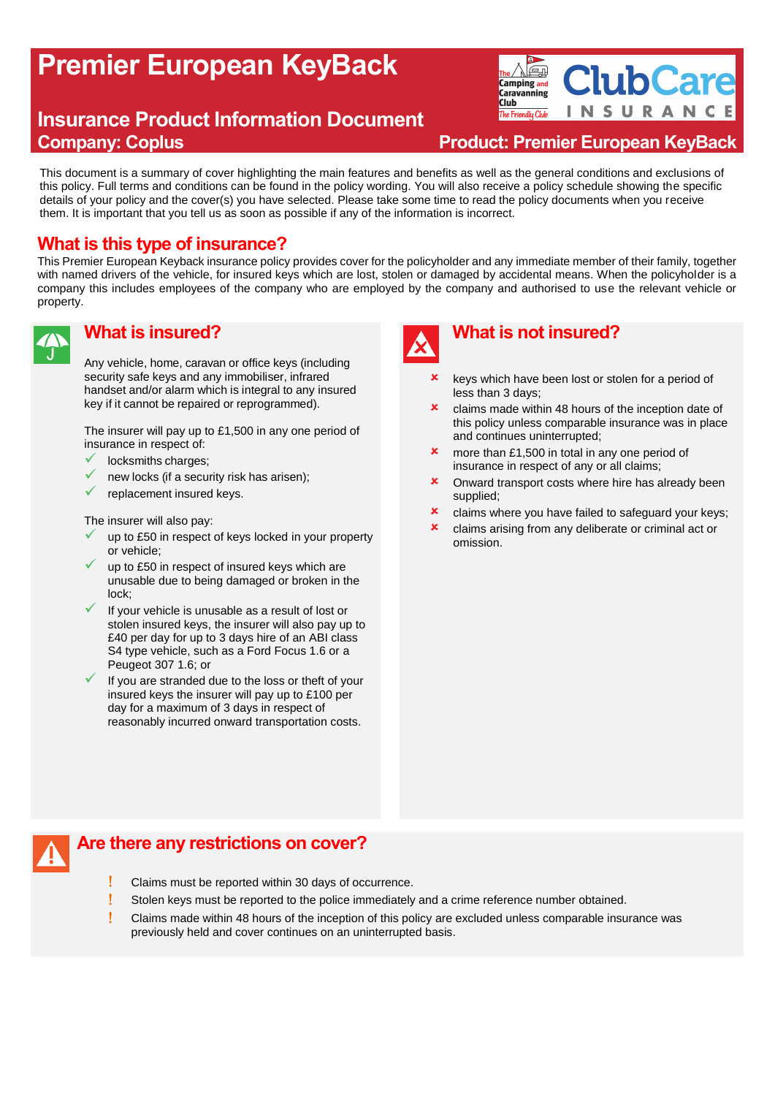# **Premier European KeyBack**

# **Insurance Product Information Document Company: Coplus Product: Premier European KeyBack**

**ClubCare** Alet **Camping and Caravanning Club** SURAN  $\mathsf{I}$  N The Friendly Club

This document is a summary of cover highlighting the main features and benefits as well as the general conditions and exclusions of this policy. Full terms and conditions can be found in the policy wording. You will also receive a policy schedule showing the specific details of your policy and the cover(s) you have selected. Please take some time to read the policy documents when you receive them. It is important that you tell us as soon as possible if any of the information is incorrect.

# **What is this type of insurance?**

This Premier European Keyback insurance policy provides cover for the policyholder and any immediate member of their family, together with named drivers of the vehicle, for insured keys which are lost, stolen or damaged by accidental means. When the policyholder is a company this includes employees of the company who are employed by the company and authorised to use the relevant vehicle or property.



#### **What is insured?**

Any vehicle, home, caravan or office keys (including security safe keys and any immobiliser, infrared handset and/or alarm which is integral to any insured key if it cannot be repaired or reprogrammed).

The insurer will pay up to £1,500 in any one period of insurance in respect of:

- locksmiths charges:
- new locks (if a security risk has arisen);
- replacement insured keys.

The insurer will also pay:

- up to £50 in respect of keys locked in your property or vehicle;
- up to £50 in respect of insured keys which are unusable due to being damaged or broken in the lock;
- If your vehicle is unusable as a result of lost or stolen insured keys, the insurer will also pay up to £40 per day for up to 3 days hire of an ABI class S4 type vehicle, such as a Ford Focus 1.6 or a Peugeot 307 1.6; or
- $\checkmark$  If you are stranded due to the loss or theft of your insured keys the insurer will pay up to £100 per day for a maximum of 3 days in respect of reasonably incurred onward transportation costs.



# **What is not insured?**

- keys which have been lost or stolen for a period of less than 3 days;
- **x** claims made within 48 hours of the inception date of this policy unless comparable insurance was in place and continues uninterrupted;
- **x** more than £1,500 in total in any one period of insurance in respect of any or all claims;
- **x** Onward transport costs where hire has already been supplied;
- **x** claims where you have failed to safeguard your keys;
- **x** claims arising from any deliberate or criminal act or omission.

### **Are there any restrictions on cover?**

- Claims must be reported within 30 days of occurrence.
- Stolen keys must be reported to the police immediately and a crime reference number obtained.
- Claims made within 48 hours of the inception of this policy are excluded unless comparable insurance was previously held and cover continues on an uninterrupted basis.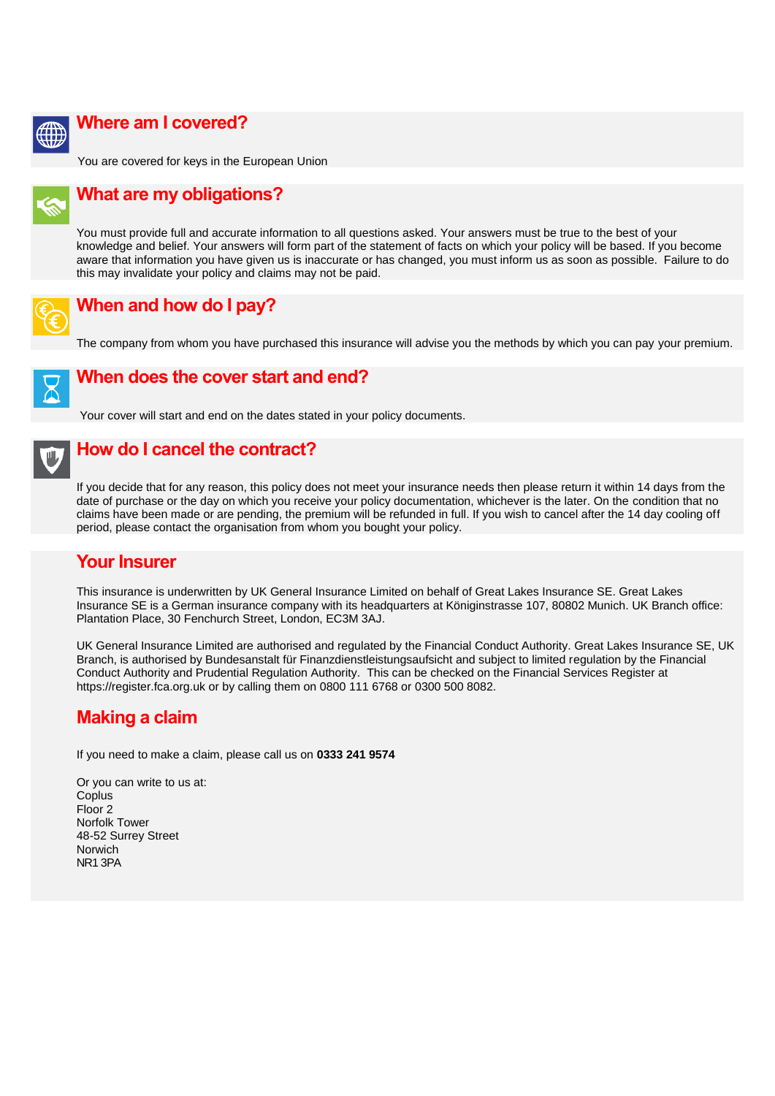

#### **Where am I covered?**

You are covered for keys in the European Union



### **What are my obligations?**

You must provide full and accurate information to all questions asked. Your answers must be true to the best of your knowledge and belief. Your answers will form part of the statement of facts on which your policy will be based. If you become aware that information you have given us is inaccurate or has changed, you must inform us as soon as possible. Failure to do this may invalidate your policy and claims may not be paid.



### **When and how do I pay?**

The company from whom you have purchased this insurance will advise you the methods by which you can pay your premium.



#### **When does the cover start and end?**

Your cover will start and end on the dates stated in your policy documents.

#### **How do I cancel the contract?**

If you decide that for any reason, this policy does not meet your insurance needs then please return it within 14 days from the date of purchase or the day on which you receive your policy documentation, whichever is the later. On the condition that no claims have been made or are pending, the premium will be refunded in full. If you wish to cancel after the 14 day cooling off period, please contact the organisation from whom you bought your policy.

#### **Your Insurer**

This insurance is underwritten by UK General Insurance Limited on behalf of Great Lakes Insurance SE. Great Lakes Insurance SE is a German insurance company with its headquarters at Königinstrasse 107, 80802 Munich. UK Branch office: Plantation Place, 30 Fenchurch Street, London, EC3M 3AJ.

UK General Insurance Limited are authorised and regulated by the Financial Conduct Authority. Great Lakes Insurance SE, UK Branch, is authorised by Bundesanstalt für Finanzdienstleistungsaufsicht and subject to limited regulation by the Financial Conduct Authority and Prudential Regulation Authority. This can be checked on the Financial Services Register at https://register.fca.org.uk or by calling them on 0800 111 6768 or 0300 500 8082.

## **Making a claim**

If you need to make a claim, please call us on **0333 241 9574**

Or you can write to us at: **Coplus** Floor 2 Norfolk Tower 48-52 Surrey Street Norwich NR1 3PA